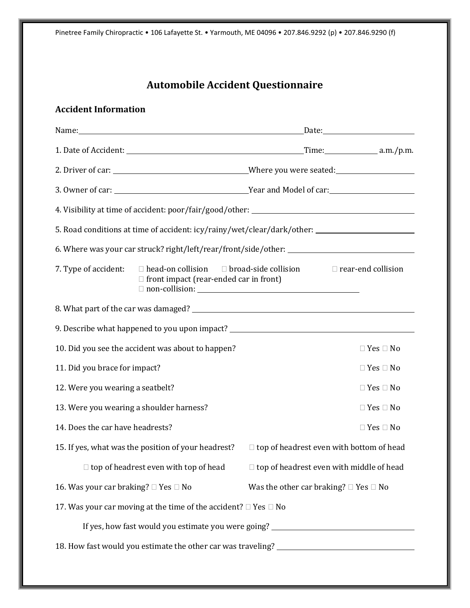## **Automobile Accident Questionnaire**

## **Accident Information**

| 5. Road conditions at time of accident: icy/rainy/wet/clear/dark/other:                                                                                                                                                          |  |                                                 |  |  |
|----------------------------------------------------------------------------------------------------------------------------------------------------------------------------------------------------------------------------------|--|-------------------------------------------------|--|--|
|                                                                                                                                                                                                                                  |  |                                                 |  |  |
| 7. Type of accident: $\square$ head-on collision $\square$ broad-side collision $\square$ rear-end collision<br>$\Box$ front impact (rear-ended car in front)                                                                    |  |                                                 |  |  |
|                                                                                                                                                                                                                                  |  |                                                 |  |  |
| 9. Describe what happened to you upon impact? __________________________________                                                                                                                                                 |  |                                                 |  |  |
| 10. Did you see the accident was about to happen?<br>$\Box$ Yes $\Box$ No                                                                                                                                                        |  |                                                 |  |  |
| 11. Did you brace for impact?                                                                                                                                                                                                    |  | $\Box$ Yes $\Box$ No                            |  |  |
| 12. Were you wearing a seatbelt?                                                                                                                                                                                                 |  | $\Box$ Yes $\Box$ No                            |  |  |
| 13. Were you wearing a shoulder harness?                                                                                                                                                                                         |  | $\Box$ Yes $\Box$ No                            |  |  |
| 14. Does the car have headrests?                                                                                                                                                                                                 |  | $\Box$ Yes $\Box$ No                            |  |  |
| 15. If yes, what was the position of your headrest?                                                                                                                                                                              |  | $\Box$ top of headrest even with bottom of head |  |  |
| $\Box$ top of headrest even with top of head                                                                                                                                                                                     |  | $\Box$ top of headrest even with middle of head |  |  |
| 16. Was your car braking? □ Yes □ No                                                                                                                                                                                             |  | Was the other car braking? $\Box$ Yes $\Box$ No |  |  |
| 17. Was your car moving at the time of the accident? $\Box$ Yes $\Box$ No                                                                                                                                                        |  |                                                 |  |  |
| If yes, how fast would you estimate you were going?<br>The same state of the state of the state of the state of the state of the state of the state of the state of the state of the state of the state of the state of the stat |  |                                                 |  |  |
|                                                                                                                                                                                                                                  |  |                                                 |  |  |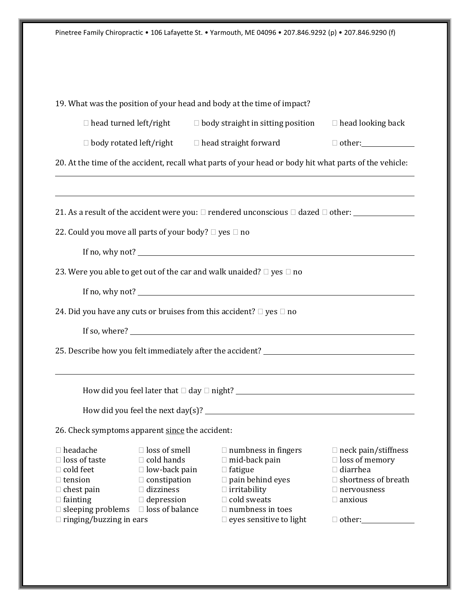| Pinetree Family Chiropractic • 106 Lafayette St. • Yarmouth, ME 04096 • 207.846.9292 (p) • 207.846.9290 (f) |  |  |  |  |
|-------------------------------------------------------------------------------------------------------------|--|--|--|--|
|-------------------------------------------------------------------------------------------------------------|--|--|--|--|

|                                                                                                                                                                                                                                                                                                              |                                                                                                                                                             | 19. What was the position of your head and body at the time of impact?                                                                                                                                    |                                                                                                                                                                      |  |
|--------------------------------------------------------------------------------------------------------------------------------------------------------------------------------------------------------------------------------------------------------------------------------------------------------------|-------------------------------------------------------------------------------------------------------------------------------------------------------------|-----------------------------------------------------------------------------------------------------------------------------------------------------------------------------------------------------------|----------------------------------------------------------------------------------------------------------------------------------------------------------------------|--|
|                                                                                                                                                                                                                                                                                                              | $\Box$ head turned left/right<br>$\Box$ body straight in sitting position<br>$\Box$ head looking back                                                       |                                                                                                                                                                                                           |                                                                                                                                                                      |  |
|                                                                                                                                                                                                                                                                                                              |                                                                                                                                                             | $\Box$ body rotated left/right $\Box$ head straight forward                                                                                                                                               |                                                                                                                                                                      |  |
| 20. At the time of the accident, recall what parts of your head or body hit what parts of the vehicle:                                                                                                                                                                                                       |                                                                                                                                                             |                                                                                                                                                                                                           |                                                                                                                                                                      |  |
| ,我们也不会有什么。""我们的人,我们也不会有什么?""我们的人,我们也不会有什么?""我们的人,我们也不会有什么?""我们的人,我们也不会有什么?""我们的人<br>22. Could you move all parts of your body? □ yes □ no<br>23. Were you able to get out of the car and walk unaided? $\Box$ yes $\Box$ no<br>24. Did you have any cuts or bruises from this accident? $\Box$ yes $\Box$ no |                                                                                                                                                             |                                                                                                                                                                                                           |                                                                                                                                                                      |  |
| ,我们也不会有什么。""我们的人,我们也不会有什么?""我们的人,我们也不会有什么?""我们的人,我们也不会有什么?""我们的人,我们也不会有什么?""我们的人                                                                                                                                                                                                                             |                                                                                                                                                             |                                                                                                                                                                                                           |                                                                                                                                                                      |  |
|                                                                                                                                                                                                                                                                                                              |                                                                                                                                                             |                                                                                                                                                                                                           |                                                                                                                                                                      |  |
| How did you feel the next day(s)? $\overline{\phantom{a}}$                                                                                                                                                                                                                                                   |                                                                                                                                                             |                                                                                                                                                                                                           |                                                                                                                                                                      |  |
| 26. Check symptoms apparent since the accident:                                                                                                                                                                                                                                                              |                                                                                                                                                             |                                                                                                                                                                                                           |                                                                                                                                                                      |  |
| $\Box$ headache<br>$\Box$ loss of taste<br>$\Box$ cold feet<br>$\Box$ tension<br>$\Box$ chest pain<br>$\Box$ fainting<br>$\Box$ sleeping problems<br>$\Box$ ringing/buzzing in ears                                                                                                                          | $\Box$ loss of smell<br>$\Box$ cold hands<br>$\Box$ low-back pain<br>$\Box$ constipation<br>$\Box$ dizziness<br>$\Box$ depression<br>$\Box$ loss of balance | $\Box$ numbness in fingers<br>$\Box$ mid-back pain<br>$\Box$ fatigue<br>$\Box$ pain behind eyes<br>$\Box$ irritability<br>$\Box$ cold sweats<br>$\Box$ numbness in toes<br>$\Box$ eyes sensitive to light | $\Box$ neck pain/stiffness<br>$\Box$ loss of memory<br>$\Box$ diarrhea<br>$\Box$ shortness of breath<br>$\Box$ nervousness<br>$\Box$ anxious<br>$\Box$ other: $\_\_$ |  |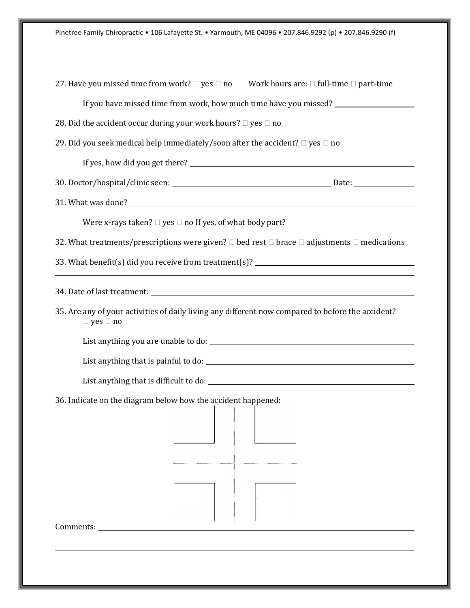| 27. Have you missed time from work? $\Box$ yes $\Box$ no Work hours are: $\Box$ full-time $\Box$ part-time       |
|------------------------------------------------------------------------------------------------------------------|
| If you have missed time from work, how much time have you missed?                                                |
| 28. Did the accident occur during your work hours? $\Box$ yes $\Box$ no                                          |
| 29. Did you seek medical help immediately/soon after the accident? $\Box$ yes $\Box$ no                          |
|                                                                                                                  |
|                                                                                                                  |
|                                                                                                                  |
|                                                                                                                  |
| 32. What treatments/prescriptions were given? $\Box$ bed rest $\Box$ brace $\Box$ adjustments $\Box$ medications |
| 33. What benefit(s) did you receive from treatment(s)?                                                           |
| 35. Are any of your activities of daily living any different now compared to before the accident?                |
| $\Box$ yes $\Box$ no                                                                                             |
|                                                                                                                  |
|                                                                                                                  |
| List anything that is difficult to do:                                                                           |
| 36. Indicate on the diagram below how the accident happened:<br>Comments:                                        |
|                                                                                                                  |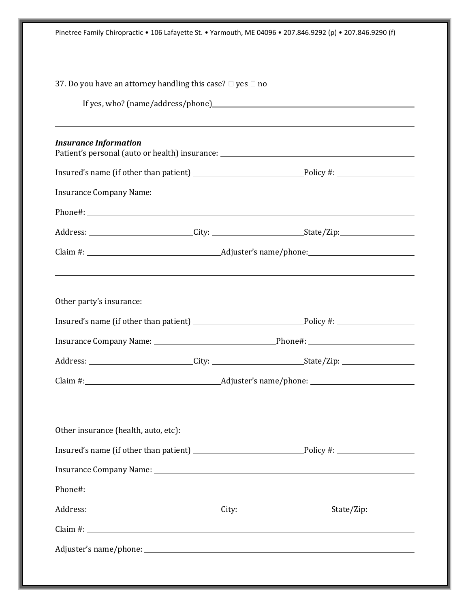Pinetree Family Chiropractic • 106 Lafayette St. • Yarmouth, ME 04096 • 207.846.9292 (p) • 207.846.9290 (f)

| 37. Do you have an attorney handling this case? $\Box$ yes $\Box$ no |  |                                                                                   |
|----------------------------------------------------------------------|--|-----------------------------------------------------------------------------------|
| <b>Insurance Information</b>                                         |  | Patient's personal (auto or health) insurance: __________________________________ |
|                                                                      |  |                                                                                   |
|                                                                      |  |                                                                                   |
|                                                                      |  |                                                                                   |
|                                                                      |  |                                                                                   |
|                                                                      |  |                                                                                   |
|                                                                      |  |                                                                                   |
|                                                                      |  |                                                                                   |
|                                                                      |  |                                                                                   |
|                                                                      |  |                                                                                   |
|                                                                      |  |                                                                                   |
|                                                                      |  |                                                                                   |
|                                                                      |  |                                                                                   |
|                                                                      |  |                                                                                   |